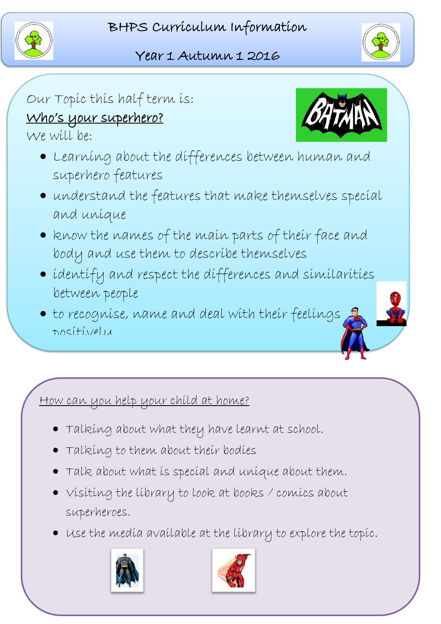



## Our Topic this half term is: Who's your superhero?

We will be:

- Learning about the differences between human and superhero features
- understand the features that make themselves special and unique
- Re know the names of the main parts of their face and l<br>C body and use them to describe themselves
- identify and respect the differences and similarities between people

Ī

 to recognise, name and deal with their feelings positively

## .<br><u>How can you help your child at home?</u>

- Talking about what they have learnt at school.
- j Talking to them about their bodies
- Talk about what is special and unique about them.
- Visiting the library to look at books / comics about superheroes.
- $\overline{a}$  $\bullet\;$  use the media available at the library to explore the topic.